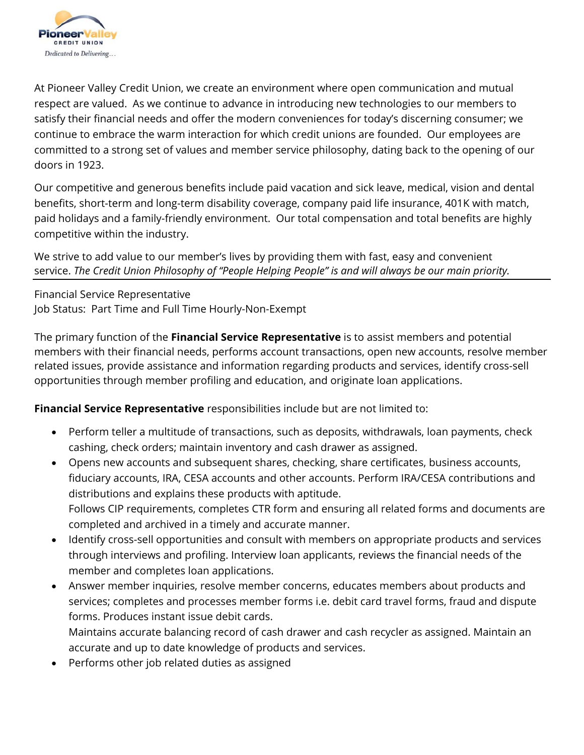

At Pioneer Valley Credit Union, we create an environment where open communication and mutual respect are valued. As we continue to advance in introducing new technologies to our members to satisfy their financial needs and offer the modern conveniences for today's discerning consumer; we continue to embrace the warm interaction for which credit unions are founded. Our employees are committed to a strong set of values and member service philosophy, dating back to the opening of our doors in 1923.

Our competitive and generous benefits include paid vacation and sick leave, medical, vision and dental benefits, short-term and long-term disability coverage, company paid life insurance, 401K with match, paid holidays and a family-friendly environment. Our total compensation and total benefits are highly competitive within the industry.

We strive to add value to our member's lives by providing them with fast, easy and convenient service. *The Credit Union Philosophy of "People Helping People" is and will always be our main priority.* 

Financial Service Representative Job Status: Part Time and Full Time Hourly-Non-Exempt

The primary function of the **Financial Service Representative** is to assist members and potential members with their financial needs, performs account transactions, open new accounts, resolve member related issues, provide assistance and information regarding products and services, identify cross-sell opportunities through member profiling and education, and originate loan applications.

**Financial Service Representative** responsibilities include but are not limited to:

- Perform teller a multitude of transactions, such as deposits, withdrawals, loan payments, check cashing, check orders; maintain inventory and cash drawer as assigned.
- Opens new accounts and subsequent shares, checking, share certificates, business accounts, fiduciary accounts, IRA, CESA accounts and other accounts. Perform IRA/CESA contributions and distributions and explains these products with aptitude. Follows CIP requirements, completes CTR form and ensuring all related forms and documents are completed and archived in a timely and accurate manner.
- Identify cross-sell opportunities and consult with members on appropriate products and services through interviews and profiling. Interview loan applicants, reviews the financial needs of the member and completes loan applications.
- Answer member inquiries, resolve member concerns, educates members about products and services; completes and processes member forms i.e. debit card travel forms, fraud and dispute forms. Produces instant issue debit cards.

Maintains accurate balancing record of cash drawer and cash recycler as assigned. Maintain an accurate and up to date knowledge of products and services.

Performs other job related duties as assigned